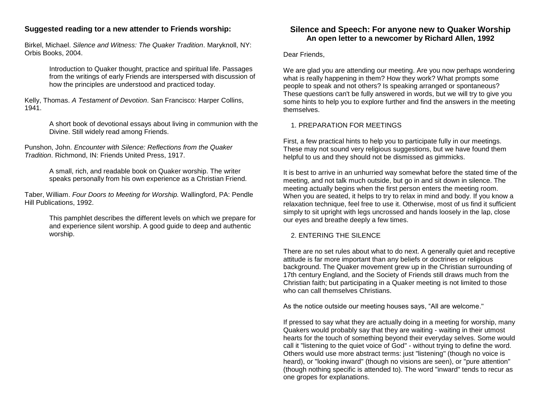## **Suggested reading tor a new attender to Friends worship:**

Birkel, Michael. *Silence and Witness: The Quaker Tradition*. Maryknoll, NY: Orbis Books, 2004.

> Introduction to Quaker thought, practice and spiritual life. Passages from the writings of early Friends are interspersed with discussion of how the principles are understood and practiced today.

Kelly, Thomas. *A Testament of Devotion*. San Francisco: Harper Collins, 1941.

> A short book of devotional essays about living in communion with the Divine. Still widely read among Friends.

Punshon, John. *Encounter with Silence: Reflections from the Quaker Tradition*. Richmond, IN: Friends United Press, 1917.

> A small, rich, and readable book on Quaker worship. The writer speaks personally from his own experience as a Christian Friend.

Taber, William. *Four Doors to Meeting for Worship.* Wallingford, PA: Pendle Hill Publications, 1992.

> This pamphlet describes the different levels on which we prepare for and experience silent worship. A good guide to deep and authentic worship.

# **Silence and Speech: For anyone new to Quaker Worship An open letter to a newcomer by Richard Allen, 1992**

Dear Friends,

We are glad you are attending our meeting. Are you now perhaps wondering what is really happening in them? How they work? What prompts some people to speak and not others? Is speaking arranged or spontaneous? These questions can't be fully answered in words, but we will try to give you some hints to help you to explore further and find the answers in the meeting themselves.

#### 1. PREPARATION FOR MEETINGS

First, a few practical hints to help you to participate fully in our meetings. These may not sound very religious suggestions, but we have found them helpful to us and they should not be dismissed as gimmicks.

It is best to arrive in an unhurried way somewhat before the stated time of the meeting, and not talk much outside, but go in and sit down in silence. The meeting actually begins when the first person enters the meeting room. When you are seated, it helps to try to relax in mind and body. If you know a relaxation technique, feel free to use it. Otherwise, most of us find it sufficient simply to sit upright with legs uncrossed and hands loosely in the lap, close our eyes and breathe deeply a few times.

## 2. ENTERING THE SILENCE

There are no set rules about what to do next. A generally quiet and receptive attitude is far more important than any beliefs or doctrines or religious background. The Quaker movement grew up in the Christian surrounding of 17th century England, and the Society of Friends still draws much from the Christian faith; but participating in a Quaker meeting is not limited to those who can call themselves Christians.

As the notice outside our meeting houses says, "All are welcome."

If pressed to say what they are actually doing in a meeting for worship, many Quakers would probably say that they are waiting - waiting in their utmost hearts for the touch of something beyond their everyday selves. Some would call it "listening to the quiet voice of God" - without trying to define the word. Others would use more abstract terms: just "listening" (though no voice is heard), or "looking inward" (though no visions are seen), or "pure attention" (though nothing specific is attended to). The word "inward" tends to recur as one gropes for explanations.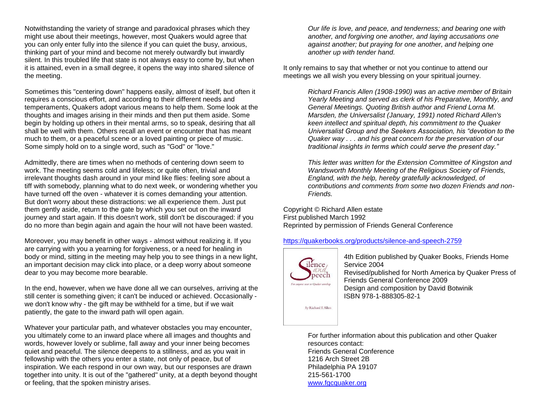Notwithstanding the variety of strange and paradoxical phrases which they might use about their meetings, however, most Quakers would agree that you can only enter fully into the silence if you can quiet the busy, anxious, thinking part of your mind and become not merely outwardly but inwardly silent. In this troubled life that state is not always easy to come by, but when it is attained, even in a small degree, it opens the way into shared silence of the meeting.

Sometimes this "centering down" happens easily, almost of itself, but often it requires a conscious effort, and according to their different needs and temperaments, Quakers adopt various means to help them. Some look at the thoughts and images arising in their minds and then put them aside. Some begin by holding up others in their mental arms, so to speak, desiring that all shall be well with them. Others recall an event or encounter that has meant much to them, or a peaceful scene or a loved painting or piece of music. Some simply hold on to a single word, such as "God" or "love."

Admittedly, there are times when no methods of centering down seem to work. The meeting seems cold and lifeless; or quite often, trivial and irrelevant thoughts dash around in your mind like flies: feeling sore about a tiff with somebody, planning what to do next week, or wondering whether you have turned off the oven - whatever it is comes demanding your attention. But don't worry about these distractions: we all experience them. Just put them gently aside, return to the gate by which you set out on the inward journey and start again. If this doesn't work, still don't be discouraged: if you do no more than begin again and again the hour will not have been wasted.

Moreover, you may benefit in other ways - almost without realizing it. If you are carrying with you a yearning for forgiveness, or a need for healing in body or mind, sitting in the meeting may help you to see things in a new light, an important decision may click into place, or a deep worry about someone dear to you may become more bearable.

In the end, however, when we have done all we can ourselves, arriving at the still center is something given; it can't be induced or achieved. Occasionally we don't know why - the gift may be withheld for a time, but if we wait patiently, the gate to the inward path will open again.

Whatever your particular path, and whatever obstacles you may encounter, you ultimately come to an inward place where all images and thoughts and words, however lovely or sublime, fall away and your inner being becomes quiet and peaceful. The silence deepens to a stillness, and as you wait in fellowship with the others you enter a state, not only of peace, but of inspiration. We each respond in our own way, but our responses are drawn together into unity. It is out of the "gathered" unity, at a depth beyond thought or feeling, that the spoken ministry arises.

*Our life is love, and peace, and tenderness; and bearing one with another, and forgiving one another, and laying accusations one against another; but praying for one another, and helping one another up with tender hand.*

It only remains to say that whether or not you continue to attend our meetings we all wish you every blessing on your spiritual journey.

> *Richard Francis Allen (1908-1990) was an active member of Britain Yearly Meeting and served as clerk of his Preparative, Monthly, and General Meetings. Quoting British author and Friend Lorna M. Marsden, the Universalist (January, 1991) noted Richard Allen's keen intellect and spiritual depth, his commitment to the Quaker Universalist Group and the Seekers Association, his "devotion to the Quaker way . . . and his great concern for the preservation of our traditional insights in terms which could serve the present day."*

> *This letter was written for the Extension Committee of Kingston and Wandsworth Monthly Meeting of the Religious Society of Friends, England, with the help, hereby gratefully acknowledged, of contributions and comments from some two dozen Friends and non-Friends.*

Copyright © Richard Allen estate First published March 1992 Reprinted by permission of Friends General Conference

<https://quakerbooks.org/products/silence-and-speech-2759>



4th Edition published by Quaker Books, Friends Home Service 2004 Revised/published for North America by Quaker Press of Friends General Conference 2009 Design and composition by David Botwinik ISBN 978-1-888305-82-1

For further information about this publication and other Quaker resources contact: Friends General Conference 1216 Arch Street 2B Philadelphia PA 19107 215-561-1700 [www.fgcquaker.org](http://www.fgcquaker.org/)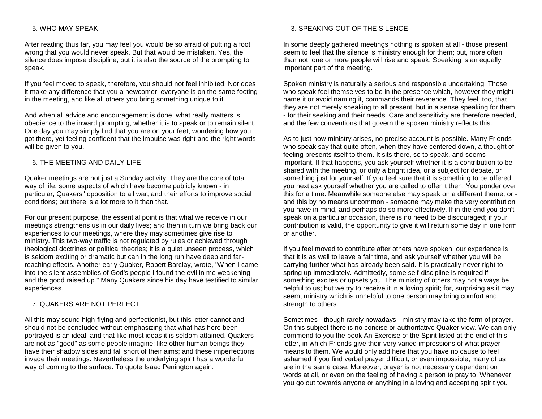#### 5. WHO MAY SPEAK

After reading thus far, you may feel you would be so afraid of putting a foot wrong that you would never speak. But that would be mistaken. Yes, the silence does impose discipline, but it is also the source of the prompting to speak.

If you feel moved to speak, therefore, you should not feel inhibited. Nor does it make any difference that you a newcomer; everyone is on the same footing in the meeting, and like all others you bring something unique to it.

And when all advice and encouragement is done, what really matters is obedience to the inward prompting, whether it is to speak or to remain silent. One day you may simply find that you are on your feet, wondering how you got there, yet feeling confident that the impulse was right and the right words will be given to you.

#### 6. THE MEETING AND DAILY LIFE

Quaker meetings are not just a Sunday activity. They are the core of total way of life, some aspects of which have become publicly known - in particular, Quakers" opposition to all war, and their efforts to improve social conditions; but there is a lot more to it than that.

For our present purpose, the essential point is that what we receive in our meetings strengthens us in our daily lives; and then in turn we bring back our experiences to our meetings, where they may sometimes give rise to ministry. This two-way traffic is not regulated by rules or achieved through theological doctrines or political theories; it is a quiet unseen process, which is seldom exciting or dramatic but can in the long run have deep and farreaching effects. Another early Quaker, Robert Barclay, wrote, "When I came into the silent assemblies of God's people I found the evil in me weakening and the good raised up." Many Quakers since his day have testified to similar experiences.

#### 7. QUAKERS ARE NOT PERFECT

All this may sound high-flying and perfectionist, but this letter cannot and should not be concluded without emphasizing that what has here been portrayed is an ideal, and that like most ideas it is seldom attained. Quakers are not as "good" as some people imagine; like other human beings they have their shadow sides and fall short of their aims; and these imperfections invade their meetings. Nevertheless the underlying spirit has a wonderful way of coming to the surface. To quote Isaac Penington again:

### 3. SPEAKING OUT OF THE SILENCE

In some deeply gathered meetings nothing is spoken at all - those present seem to feel that the silence is ministry enough for them; but, more often than not, one or more people will rise and speak. Speaking is an equally important part of the meeting.

Spoken ministry is naturally a serious and responsible undertaking. Those who speak feel themselves to be in the presence which, however they might name it or avoid naming it, commands their reverence. They feel, too, that they are not merely speaking to all present, but in a sense speaking for them - for their seeking and their needs. Care and sensitivity are therefore needed, and the few conventions that govern the spoken ministry reflects this.

As to just how ministry arises, no precise account is possible. Many Friends who speak say that quite often, when they have centered down, a thought of feeling presents itself to them. It sits there, so to speak, and seems important. If that happens, you ask yourself whether it is a contribution to be shared with the meeting, or only a bright idea, or a subject for debate, or something just for yourself. If you feel sure that it is something to be offered you next ask yourself whether you are called to offer it then. You ponder over this for a time. Meanwhile someone else may speak on a different theme, or and this by no means uncommon - someone may make the very contribution you have in mind, and perhaps do so more effectively. If in the end you don't speak on a particular occasion, there is no need to be discouraged; if your contribution is valid, the opportunity to give it will return some day in one form or another.

If you feel moved to contribute after others have spoken, our experience is that it is as well to leave a fair time, and ask yourself whether you will be carrying further what has already been said. It is practically never right to spring up immediately. Admittedly, some self-discipline is required if something excites or upsets you. The ministry of others may not always be helpful to us; but we try to receive it in a loving spirit; for, surprising as it may seem, ministry which is unhelpful to one person may bring comfort and strength to others.

Sometimes - though rarely nowadays - ministry may take the form of prayer. On this subject there is no concise or authoritative Quaker view. We can only commend to you the book An Exercise of the Spirit listed at the end of this letter, in which Friends give their very varied impressions of what prayer means to them. We would only add here that you have no cause to feel ashamed if you find verbal prayer difficult, or even impossible; many of us are in the same case. Moreover, prayer is not necessary dependent on words at all, or even on the feeling of having a person to pray to. Whenever you go out towards anyone or anything in a loving and accepting spirit you